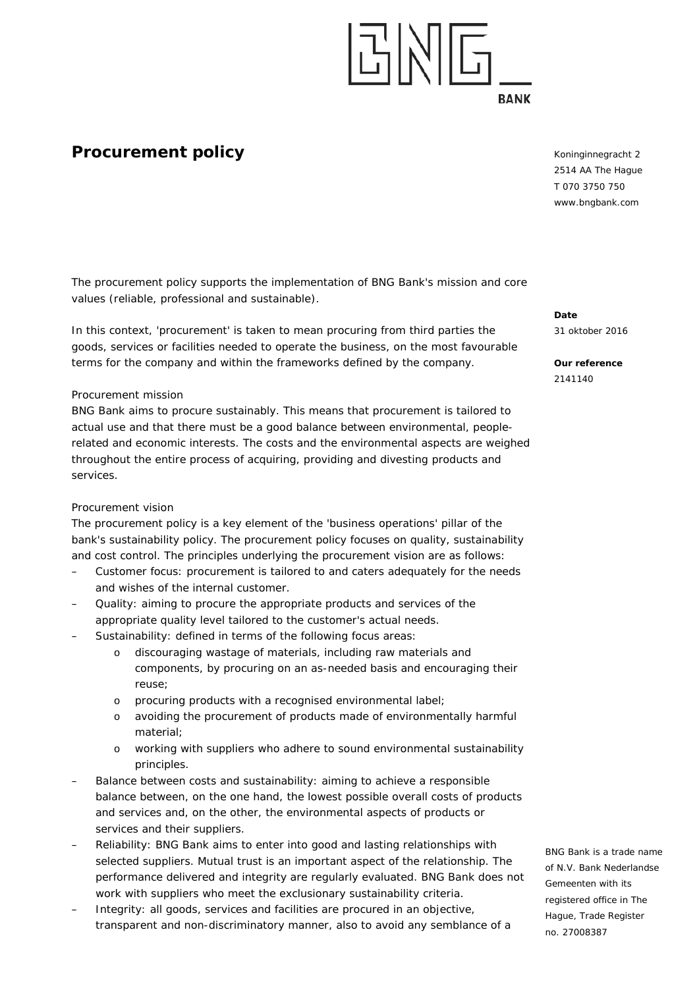# <u>대세민</u> **RANK**

## **Procurement policy**

Koninginnegracht 2 2514 AA The Hague T 070 3750 750 www.bngbank.com

The procurement policy supports the implementation of BNG Bank's mission and core values (reliable, professional and sustainable).

In this context, 'procurement' is taken to mean procuring from third parties the goods, services or facilities needed to operate the business, on the most favourable terms for the company and within the frameworks defined by the company.

### *Procurement mission*

BNG Bank aims to procure sustainably. This means that procurement is tailored to actual use and that there must be a good balance between environmental, peoplerelated and economic interests. The costs and the environmental aspects are weighed throughout the entire process of acquiring, providing and divesting products and services.

### *Procurement vision*

The procurement policy is a key element of the 'business operations' pillar of the bank's sustainability policy. The procurement policy focuses on quality, sustainability and cost control. The principles underlying the procurement vision are as follows:

- *Customer focus*: procurement is tailored to and caters adequately for the needs and wishes of the internal customer.
- *Quality*: aiming to procure the appropriate products and services of the appropriate quality level tailored to the customer's actual needs.
- Sustainability: defined in terms of the following focus areas:
	- o discouraging wastage of materials, including raw materials and components, by procuring on an as-needed basis and encouraging their reuse;
	- o procuring products with a recognised environmental label;
	- o avoiding the procurement of products made of environmentally harmful material;
	- o working with suppliers who adhere to sound environmental sustainability principles.
- *Balance between costs and sustainability*: aiming to achieve a responsible balance between, on the one hand, the lowest possible overall costs of products and services and, on the other, the environmental aspects of products or services and their suppliers.
- *Reliability*: BNG Bank aims to enter into good and lasting relationships with selected suppliers. Mutual trust is an important aspect of the relationship. The performance delivered and integrity are regularly evaluated. BNG Bank does *not* work with suppliers who meet the exclusionary sustainability criteria.
- *Integrity*: all goods, services and facilities are procured in an objective, transparent and non-discriminatory manner, also to avoid any semblance of a

**Date** 31 oktober 2016

**Our reference** 2141140

BNG Bank is a trade name of N.V. Bank Nederlandse Gemeenten with its registered office in The Hague, Trade Register no. 27008387